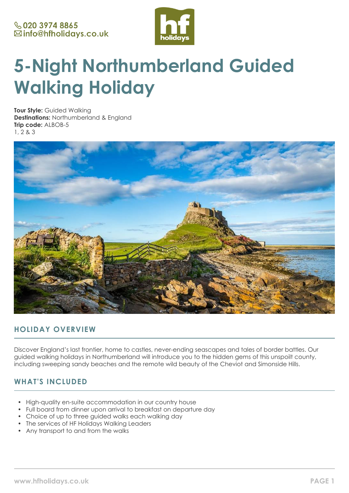

# **5-Night Northumberland Guided Walking Holiday**

**Tour Style:** Guided Walking **Destinations:** Northumberland & England **Trip code:** ALBOB-5 1, 2 & 3



# **HOLIDAY OVERVIEW**

Discover England's last frontier, home to castles, never-ending seascapes and tales of border battles. Our guided walking holidays in Northumberland will introduce you to the hidden gems of this unspoilt county, including sweeping sandy beaches and the remote wild beauty of the Cheviot and Simonside Hills.

# **WHAT'S INCLUDED**

- High-quality en-suite accommodation in our country house
- Full board from dinner upon arrival to breakfast on departure day
- Choice of up to three guided walks each walking day
- The services of HF Holidays Walking Leaders
- Any transport to and from the walks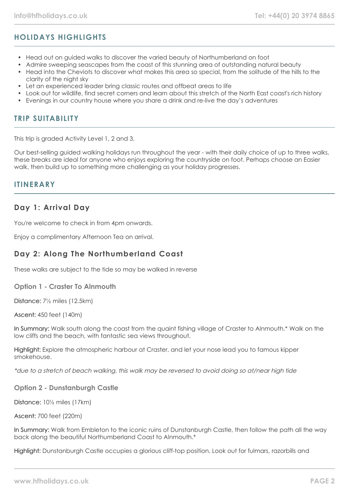# **HOLIDAYS HIGHLIGHTS**

- Head out on guided walks to discover the varied beauty of Northumberland on foot
- Admire sweeping seascapes from the coast of this stunning area of outstanding natural beauty
- Head into the Cheviots to discover what makes this area so special, from the solitude of the hills to the clarity of the night sky
- Let an experienced leader bring classic routes and offbeat areas to life
- Look out for wildlife, find secret corners and learn about this stretch of the North East coast's rich history
- Evenings in our country house where you share a drink and re-live the day's adventures

### **TRIP SUITABILITY**

This trip is graded Activity Level 1, 2 and 3.

Our best-selling guided walking holidays run throughout the year - with their daily choice of up to three walks, these breaks are ideal for anyone who enjoys exploring the countryside on foot. Perhaps choose an Easier walk, then build up to something more challenging as your holiday progresses.

### **ITINERARY**

# **Day 1: Arrival Day**

You're welcome to check in from 4pm onwards.

Enjoy a complimentary Afternoon Tea on arrival.

# **Day 2: Along The Northumberland Coast**

These walks are subject to the tide so may be walked in reverse

**Option 1 - Craster To Alnmouth**

Distance: 7½ miles (12.5km)

Ascent: 450 feet (140m)

In Summary: Walk south along the coast from the quaint fishing village of Craster to Alnmouth.\* Walk on the low cliffs and the beach, with fantastic sea views throughout.

Highlight: Explore the atmospheric harbour at Craster, and let your nose lead you to famous kipper smokehouse.

\*due to a stretch of beach walking, this walk may be reversed to avoid doing so at/near high tide

**Option 2 - Dunstanburgh Castle**

Distance: 10½ miles (17km)

Ascent: 700 feet (220m)

In Summary: Walk from Embleton to the iconic ruins of Dunstanburgh Castle, then follow the path all the way back along the beautiful Northumberland Coast to Alnmouth.\*

Highlight: Dunstanburgh Castle occupies a glorious cliff-top position. Look out for fulmars, razorbills and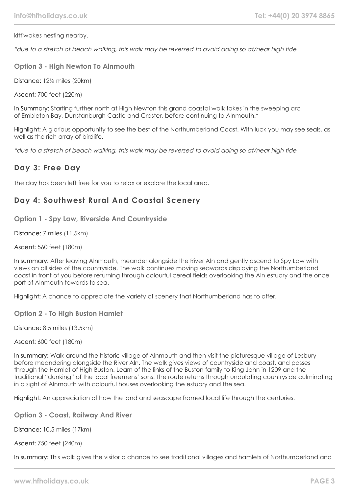kittiwakes nesting nearby.

\*due to a stretch of beach walking, this walk may be reversed to avoid doing so at/near high tide

**Option 3 - High Newton To Alnmouth**

Distance: 12½ miles (20km)

Ascent: 700 feet (220m)

In Summary: Starting further north at High Newton this grand coastal walk takes in the sweeping arc of Embleton Bay, Dunstanburgh Castle and Craster, before continuing to Alnmouth.\*

Highlight: A glorious opportunity to see the best of the Northumberland Coast. With luck you may see seals, as well as the rich array of birdlife.

\*due to a stretch of beach walking, this walk may be reversed to avoid doing so at/near high tide

### **Day 3: Free Day**

The day has been left free for you to relax or explore the local area.

# **Day 4: Southwest Rural And Coastal Scenery**

**Option 1 - Spy Law, Riverside And Countryside**

Distance: 7 miles (11.5km)

Ascent: 560 feet (180m)

In summary: After leaving Alnmouth, meander alongside the River Aln and gently ascend to Spy Law with views on all sides of the countryside. The walk continues moving seawards displaying the Northumberland coast in front of you before returning through colourful cereal fields overlooking the Aln estuary and the once port of Alnmouth towards to sea.

Highlight: A chance to appreciate the variety of scenery that Northumberland has to offer.

**Option 2 - To High Buston Hamlet**

Distance: 8.5 miles (13.5km)

Ascent: 600 feet (180m)

In summary: Walk around the historic village of Alnmouth and then visit the picturesque village of Lesbury before meandering alongside the River Aln. The walk gives views of countryside and coast, and passes through the Hamlet of High Buston. Learn of the links of the Buston family to King John in 1209 and the traditional "dunking" of the local freemens' sons. The route returns through undulating countryside culminating in a sight of Alnmouth with colourful houses overlooking the estuary and the sea.

Highlight: An appreciation of how the land and seascape framed local life through the centuries.

**Option 3 - Coast, Railway And River**

Distance: 10.5 miles (17km)

Ascent: 750 feet (240m)

In summary: This walk gives the visitor a chance to see traditional villages and hamlets of Northumberland and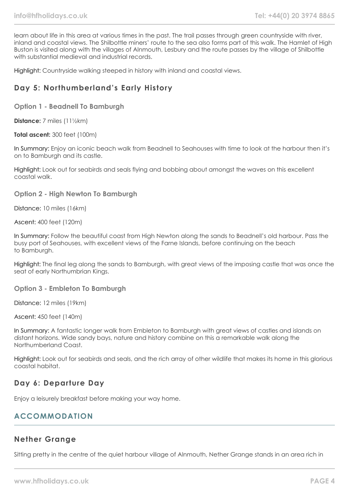learn about life in this area at various times in the past. The trail passes through green countryside with river, inland and coastal views. The Shilbottle miners' route to the sea also forms part of this walk. The Hamlet of High Buston is visited along with the villages of Alnmouth, Lesbury and the route passes by the village of Shilbottle with substantial medieval and industrial records.

Highlight: Countryside walking steeped in history with inland and coastal views.

# **Day 5: Northumberland's Early History**

**Option 1 - Beadnell To Bamburgh**

**Distance:** 7 miles (11½km)

**Total ascent:** 300 feet (100m)

In Summary: Enjoy an iconic beach walk from Beadnell to Seahouses with time to look at the harbour then it's on to Bamburgh and its castle.

Highlight: Look out for seabirds and seals flying and bobbing about amongst the waves on this excellent coastal walk.

### **Option 2 - High Newton To Bamburgh**

Distance: 10 miles (16km)

Ascent: 400 feet (120m)

In Summary: Follow the beautiful coast from High Newton along the sands to Beadnell's old harbour. Pass the busy port of Seahouses, with excellent views of the Farne Islands, before continuing on the beach to Bamburgh.

Highlight: The final leg along the sands to Bamburgh, with great views of the imposing castle that was once the seat of early Northumbrian Kings.

**Option 3 - Embleton To Bamburgh**

Distance: 12 miles (19km)

Ascent: 450 feet (140m)

In Summary: A fantastic longer walk from Embleton to Bamburgh with great views of castles and islands on distant horizons. Wide sandy bays, nature and history combine on this a remarkable walk along the Northumberland Coast.

Highlight: Look out for seabirds and seals, and the rich array of other wildlife that makes its home in this glorious coastal habitat.

# **Day 6: Departure Day**

Enjoy a leisurely breakfast before making your way home.

# **ACCOMMODATION**

### **Nether Grange**

Sitting pretty in the centre of the quiet harbour village of Alnmouth, Nether Grange stands in an area rich in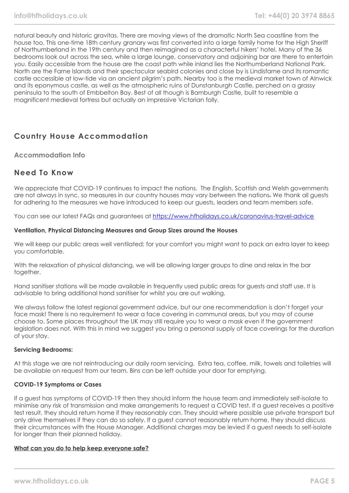natural beauty and historic gravitas. There are moving views of the dramatic North Sea coastline from the house too. This one-time 18th century granary was first converted into a large family home for the High Sheriff of Northumberland in the 19th century and then reimagined as a characterful hikers' hotel. Many of the 36 bedrooms look out across the sea, while a large lounge, conservatory and adjoining bar are there to entertain you. Easily accessible from the house are the coast path while inland lies the Northumberland National Park. North are the Farne Islands and their spectacular seabird colonies and close by is Lindisfarne and its romantic castle accessible at low-tide via an ancient pilgrim's path. Nearby too is the medieval market town of Alnwick and its eponymous castle, as well as the atmospheric ruins of Dunstanburgh Castle, perched on a grassy peninsula to the south of Embbelton Bay. Best of all though is Bamburgh Castle, built to resemble a magnificent medieval fortress but actually an impressive Victorian folly.

# **Country House Accommodation**

**Accommodation Info**

### **Need To Know**

We appreciate that COVID-19 continues to impact the nations. The English, Scottish and Welsh governments are not always in sync, so measures in our country houses may vary between the nations. We thank all quests for adhering to the measures we have introduced to keep our guests, leaders and team members safe.

You can see our latest FAQs and guarantees at <https://www.hfholidays.co.uk/coronavirus-travel-advice>

### **Ventilation, Physical Distancing Measures and Group Sizes around the Houses**

We will keep our public areas well ventilated; for your comfort you might want to pack an extra layer to keep you comfortable.

With the relaxation of physical distancing, we will be allowing larger groups to dine and relax in the bar together.

Hand sanitiser stations will be made available in frequently used public areas for guests and staff use. It is advisable to bring additional hand sanitiser for whilst you are out walking.

We always follow the latest regional government advice, but our one recommendation is don't forget your face mask! There is no requirement to wear a face covering in communal areas, but you may of course choose to. Some places throughout the UK may still require you to wear a mask even if the government legislation does not. With this in mind we suggest you bring a personal supply of face coverings for the duration of your stay.

### **Servicing Bedrooms:**

At this stage we are not reintroducing our daily room servicing. Extra tea, coffee, milk, towels and toiletries will be available on request from our team. Bins can be left outside your door for emptying.

### **COVID-19 Symptoms or Cases**

If a guest has symptoms of COVID-19 then they should inform the house team and immediately self-isolate to minimise any risk of transmission and make arrangements to request a COVID test. If a guest receives a positive test result, they should return home if they reasonably can. They should where possible use private transport but only drive themselves if they can do so safely. If a guest cannot reasonably return home, they should discuss their circumstances with the House Manager. Additional charges may be levied if a guest needs to self-isolate for longer than their planned holiday.

### **What can you do to help keep everyone safe?**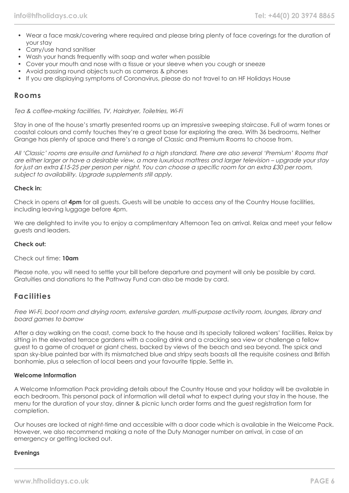- Wear a face mask/covering where required and please bring plenty of face coverings for the duration of your stay
- Carry/use hand sanitiser
- Wash your hands frequently with soap and water when possible
- Cover your mouth and nose with a tissue or your sleeve when you cough or sneeze
- Avoid passing round objects such as cameras & phones
- If you are displaying symptoms of Coronavirus, please do not travel to an HF Holidays House

### **Rooms**

Tea & coffee-making facilities, TV, Hairdryer, Toiletries, Wi-Fi

Stay in one of the house's smartly presented rooms up an impressive sweeping staircase. Full of warm tones or coastal colours and comfy touches they're a great base for exploring the area. With 36 bedrooms, Nether Grange has plenty of space and there's a range of Classic and Premium Rooms to choose from.

All 'Classic' rooms are ensuite and furnished to a high standard. There are also several 'Premium' Rooms that are either larger or have a desirable view, a more luxurious mattress and larger television – upgrade your stay for just an extra £15-25 per person per night. You can choose a specific room for an extra £30 per room, subject to availability. Upgrade supplements still apply.

#### **Check in:**

Check in opens at **4pm** for all guests. Guests will be unable to access any of the Country House facilities, including leaving luggage before 4pm.

We are delighted to invite you to enjoy a complimentary Afternoon Tea on arrival. Relax and meet your fellow guests and leaders.

#### **Check out:**

#### Check out time: **10am**

Please note, you will need to settle your bill before departure and payment will only be possible by card. Gratuities and donations to the Pathway Fund can also be made by card.

### **Facilities**

Free Wi-Fi, boot room and drying room, extensive garden, multi-purpose activity room, lounges, library and board games to borrow

After a day walking on the coast, come back to the house and its specially tailored walkers' facilities. Relax by sitting in the elevated terrace gardens with a cooling drink and a cracking sea view or challenge a fellow guest to a game of croquet or giant chess, backed by views of the beach and sea beyond. The spick and span sky-blue painted bar with its mismatched blue and stripy seats boasts all the requisite cosiness and British bonhomie, plus a selection of local beers and your favourite tipple. Settle in.

#### **Welcome Information**

A Welcome Information Pack providing details about the Country House and your holiday will be available in each bedroom. This personal pack of information will detail what to expect during your stay in the house, the menu for the duration of your stay, dinner & picnic lunch order forms and the guest registration form for completion.

Our houses are locked at night-time and accessible with a door code which is available in the Welcome Pack. However, we also recommend making a note of the Duty Manager number on arrival, in case of an emergency or getting locked out.

#### **Evenings**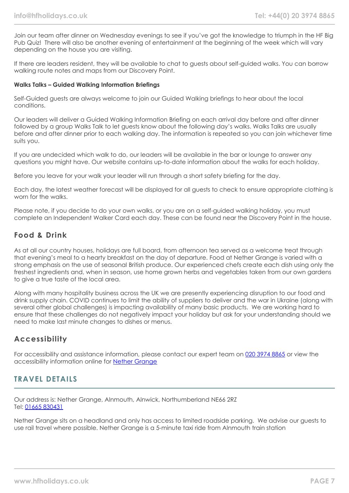Join our team after dinner on Wednesday evenings to see if you've got the knowledge to triumph in the HF Big Pub Quiz! There will also be another evening of entertainment at the beginning of the week which will vary depending on the house you are visiting.

If there are leaders resident, they will be available to chat to guests about self-guided walks. You can borrow walking route notes and maps from our Discovery Point.

#### **Walks Talks – Guided Walking Information Briefings**

Self-Guided guests are always welcome to join our Guided Walking briefings to hear about the local conditions.

Our leaders will deliver a Guided Walking Information Briefing on each arrival day before and after dinner followed by a group Walks Talk to let guests know about the following day's walks. Walks Talks are usually before and after dinner prior to each walking day. The information is repeated so you can join whichever time suits you.

If you are undecided which walk to do, our leaders will be available in the bar or lounge to answer any questions you might have. Our website contains up-to-date information about the walks for each holiday.

Before you leave for your walk your leader will run through a short safety briefing for the day.

Each day, the latest weather forecast will be displayed for all guests to check to ensure appropriate clothing is worn for the walks.

Please note, if you decide to do your own walks, or you are on a self-guided walking holiday, you must complete an Independent Walker Card each day. These can be found near the Discovery Point in the house.

### **Food & Drink**

As at all our country houses, holidays are full board, from afternoon tea served as a welcome treat through that evening's meal to a hearty breakfast on the day of departure. Food at Nether Grange is varied with a strong emphasis on the use of seasonal British produce. Our experienced chefs create each dish using only the freshest ingredients and, when in season, use home grown herbs and vegetables taken from our own gardens to give a true taste of the local area.

Along with many hospitality business across the UK we are presently experiencing disruption to our food and drink supply chain. COVID continues to limit the ability of suppliers to deliver and the war in Ukraine (along with several other global challenges) is impacting availability of many basic products. We are working hard to ensure that these challenges do not negatively impact your holiday but ask for your understanding should we need to make last minute changes to dishes or menus.

### **Accessibility**

For accessibility and assistance information, please contact our expert team on [020 3974 8865](tel:02039748865) or view the accessibility information online for [Nether Grange](https://www.hfholidays.co.uk/images/Documents/accessibility_statements/Nether_Grange_-_accessibility_information_-_update_Feb_2021.pdf)

### **TRAVEL DETAILS**

Our address is: Nether Grange, Alnmouth, Alnwick, Northumberland NE66 2RZ Tel: [01665 830431](tel:01665830431)

Nether Grange sits on a headland and only has access to limited roadside parking. We advise our guests to use rail travel where possible. Nether Grange is a 5-minute taxi ride from Alnmouth train station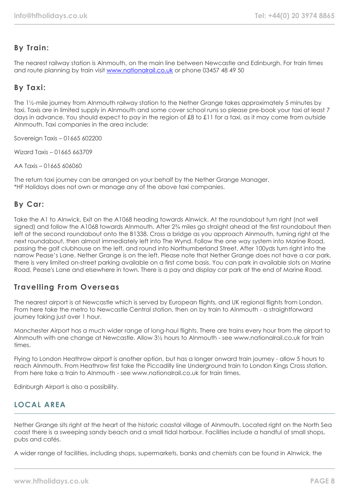# **By Train:**

The nearest railway station is Alnmouth, on the main line between Newcastle and Edinburgh. For train times and route planning by train visit [www.nationalrail.co.uk](http://www.nationalrail.co.uk/) or phone 03457 48 49 50

# **By Taxi:**

The 1½-mile journey from Alnmouth railway station to the Nether Grange takes approximately 5 minutes by taxi. Taxis are in limited supply in Alnmouth and some cover school runs so please pre-book your taxi at least 7 days in advance. You should expect to pay in the region of £8 to £11 for a taxi, as it may come from outside Alnmouth. Taxi companies in the area include:

Sovereign Taxis – 01665 602200

Wizard Taxis – 01665 663709

AA Taxis – 01665 606060

The return taxi journey can be arranged on your behalf by the Nether Grange Manager. \*HF Holidays does not own or manage any of the above taxi companies.

### **By Car:**

Take the A1 to Alnwick. Exit on the A1068 heading towards Alnwick. At the roundabout turn right (not well signed) and follow the A1068 towards Alnmouth. After  $2\frac{3}{4}$  miles go straight ahead at the first roundabout then left at the second roundabout onto the B1338. Cross a bridge as you approach Alnmouth, turning right at the next roundabout, then almost immediately left into The Wynd. Follow the one way system into Marine Road, passing the golf clubhouse on the left, and round into Northumberland Street. After 100yds turn right into the narrow Pease's Lane. Nether Grange is on the left. Please note that Nether Grange does not have a car park, there is very limited on-street parking available on a first come basis. You can park in available slots on Marine Road, Pease's Lane and elsewhere in town. There is a pay and display car park at the end of Marine Road.

# **Travelling From Overseas**

The nearest airport is at Newcastle which is served by European flights, and UK regional flights from London. From here take the metro to Newcastle Central station, then on by train to Alnmouth - a straightforward journey taking just over 1 hour.

Manchester Airport has a much wider range of long-haul flights. There are trains every hour from the airport to Alnmouth with one change at Newcastle. Allow 3½ hours to Alnmouth - see www.nationalrail.co.uk for train times.

Flying to London Heathrow airport is another option, but has a longer onward train journey - allow 5 hours to reach Alnmouth. From Heathrow first take the Piccadilly line Underground train to London Kings Cross station. From here take a train to Alnmouth - see www.nationalrail.co.uk for train times.

Edinburgh Airport is also a possibility.

# **LOCAL AREA**

Nether Grange sits right at the heart of the historic coastal village of Alnmouth. Located right on the North Sea coast there is a sweeping sandy beach and a small tidal harbour. Facilities include a handful of small shops, pubs and cafés.

A wider range of facilities, including shops, supermarkets, banks and chemists can be found in Alnwick, the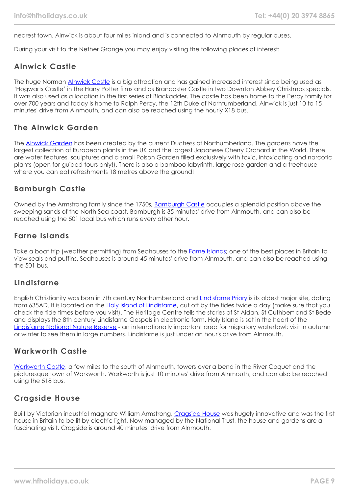nearest town. Alnwick is about four miles inland and is connected to Alnmouth by regular buses.

During your visit to the Nether Grange you may enjoy visiting the following places of interest:

# **Alnwick Castle**

The huge Norman [Alnwick Castle](https://www.alnwickcastle.com/) is a big attraction and has gained increased interest since being used as 'Hogwarts Castle' in the Harry Potter films and as Brancaster Castle in two Downton Abbey Christmas specials. It was also used as a location in the first series of Blackadder. The castle has been home to the Percy family for over 700 years and today is home to Ralph Percy, the 12th Duke of Norhtumberland. Alnwick is just 10 to 15 minutes' drive from Alnmouth, and can also be reached using the hourly X18 bus.

# **The Alnwick Garden**

The [Alnwick Garden](https://www.alnwickgarden.com/) has been created by the current Duchess of Northumberland. The gardens have the largest collection of European plants in the UK and the largest Japanese Cherry Orchard in the World. There are water features, sculptures and a small Poison Garden filled exclusively with toxic, intoxicating and narcotic plants (open for guided tours only!). There is also a bamboo labyrinth, large rose garden and a treehouse where you can eat refreshments 18 metres above the ground!

# **Bamburgh Castle**

Owned by the Armstrong family since the 1750s, [Bamburgh Castle](https://www.bamburghcastle.com/) occupies a splendid position above the sweeping sands of the North Sea coast. Bamburgh is 35 minutes' drive from Alnmouth, and can also be reached using the 501 local bus which runs every other hour.

# **Farne Islands**

Take a boat trip (weather permitting) from Seahouses to the [Farne Islands;](https://www.farne-islands.com/) one of the best places in Britain to view seals and puffins. Seahouses is around 45 minutes' drive from Alnmouth, and can also be reached using the 501 bus.

### **Lindisfarne**

English Christianity was born in 7th century Northumberland and [Lindisfarne Priory](https://www.english-heritage.org.uk/visit/places/lindisfarne-priory/History/) is its oldest major site, dating from 635AD. It is located on the [Holy Island of Lindisfarne,](https://www.visitnorthumberland.com/holy-island) cut off by the tides twice a day (make sure that you check the tide times before you visit). The Heritage Centre tells the stories of St Aidan, St Cuthbert and St Bede and displays the 8th century Lindisfarne Gospels in electronic form. Holy Island is set in the heart of the [Lindisfarne National Nature Reserve](https://www.lindisfarne.org.uk/general/pdf/NNRLindisfarneLeaflet.pdf) - an internationally important area for migratory waterfowl; visit in autumn or winter to see them in large numbers. Lindisfarne is just under an hour's drive from Alnmouth.

### **Warkworth Castle**

[Warkworth Castle](https://www.english-heritage.org.uk/visit/places/warkworth-castle-and-hermitage/), a few miles to the south of Alnmouth, towers over a bend in the River Coquet and the picturesque town of Warkworth. Warkworth is just 10 minutes' drive from Alnmouth, and can also be reached using the 518 bus.

# **Cragside House**

Built by Victorian industrial magnate William Armstrong, [Cragside House](https://www.nationaltrust.org.uk/cragside) was hugely innovative and was the first house in Britain to be lit by electric light. Now managed by the National Trust, the house and gardens are a fascinating visit. Cragside is around 40 minutes' drive from Alnmouth.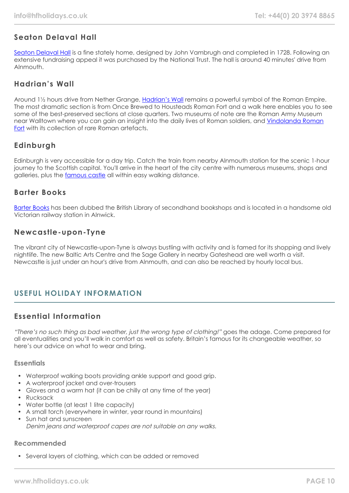# **Seaton Delaval Hall**

[Seaton Delaval Hall](https://www.nationaltrust.org.uk/seaton-delaval-hall) is a fine stately home, designed by John Vambrugh and completed in 1728. Following an extensive fundraising appeal it was purchased by the National Trust. The hall is around 40 minutes' drive from Alnmouth.

# **Hadrian's Wall**

Around 1½ hours drive from Nether Grange, [Hadrian's Wall](https://www.visithadrianswall.co.uk/) remains a powerful symbol of the Roman Empire. The most dramatic section is from Once Brewed to Housteads Roman Fort and a walk here enables you to see some of the best-preserved sections at close quarters. Two museums of note are the Roman Army Museum near Walltown where you can gain an insight into the daily lives of Roman soldiers, and [Vindolanda Roman](https://www.vindolanda.com/) [Fort](https://www.vindolanda.com/) with its collection of rare Roman artefacts.

# **Edinburgh**

Edinburgh is very accessible for a day trip. Catch the train from nearby Alnmouth station for the scenic 1-hour journey to the Scottish capital. You'll arrive in the heart of the city centre with numerous museums, shops and galleries, plus the [famous castle](https://www.edinburghcastle.scot/) all within easy walking distance.

### **Barter Books**

[Barter Books](https://www.barterbooks.co.uk/) has been dubbed the British Library of secondhand bookshops and is located in a handsome old Victorian railway station in Alnwick.

# **Newcastle-upon-Tyne**

The vibrant city of Newcastle-upon-Tyne is always bustling with activity and is famed for its shopping and lively nightlife. The new Baltic Arts Centre and the Sage Gallery in nearby Gateshead are well worth a visit. Newcastle is just under an hour's drive from Alnmouth, and can also be reached by hourly local bus.

# **USEFUL HOLIDAY INFORMATION**

# **Essential Information**

"There's no such thing as bad weather, just the wrong type of clothing!" goes the adage. Come prepared for all eventualities and you'll walk in comfort as well as safety. Britain's famous for its changeable weather, so here's our advice on what to wear and bring.

### **Essentials**

- Waterproof walking boots providing ankle support and good grip.
- A waterproof jacket and over-trousers
- Gloves and a warm hat (it can be chilly at any time of the year)
- Rucksack
- Water bottle (at least 1 litre capacity)
- A small torch (everywhere in winter, year round in mountains)
- Sun hat and sunscreen Denim jeans and waterproof capes are not suitable on any walks.

### **Recommended**

• Several layers of clothing, which can be added or removed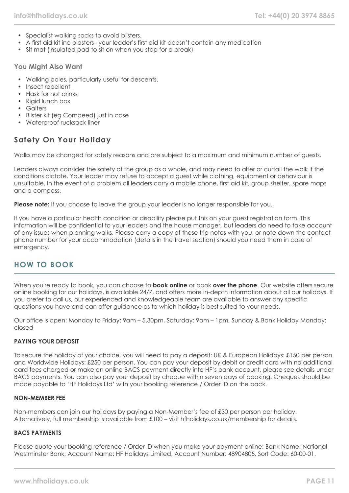- Specialist walking socks to avoid blisters.
- A first aid kit inc plasters– your leader's first aid kit doesn't contain any medication
- Sit mat (insulated pad to sit on when you stop for a break)

### **You Might Also Want**

- Walking poles, particularly useful for descents.
- Insect repellent
- Flask for hot drinks
- Rigid lunch box
- Gaiters
- Blister kit (eg Compeed) just in case
- Waterproof rucksack liner

# **Safety On Your Holiday**

Walks may be changed for safety reasons and are subject to a maximum and minimum number of guests.

Leaders always consider the safety of the group as a whole, and may need to alter or curtail the walk if the conditions dictate. Your leader may refuse to accept a guest while clothing, equipment or behaviour is unsuitable. In the event of a problem all leaders carry a mobile phone, first aid kit, group shelter, spare maps and a compass.

**Please note:** If you choose to leave the group your leader is no longer responsible for you.

If you have a particular health condition or disability please put this on your guest registration form. This information will be confidential to your leaders and the house manager, but leaders do need to take account of any issues when planning walks. Please carry a copy of these trip notes with you, or note down the contact phone number for your accommodation (details in the travel section) should you need them in case of emergency.

# **HOW TO BOOK**

When you're ready to book, you can choose to **book online** or book **over the phone**. Our website offers secure online booking for our holidays, is available 24/7, and offers more in-depth information about all our holidays. If you prefer to call us, our experienced and knowledgeable team are available to answer any specific questions you have and can offer guidance as to which holiday is best suited to your needs.

Our office is open: Monday to Friday: 9am – 5.30pm, Saturday: 9am – 1pm, Sunday & Bank Holiday Monday: closed

### **PAYING YOUR DEPOSIT**

To secure the holiday of your choice, you will need to pay a deposit: UK & European Holidays: £150 per person and Worldwide Holidays: £250 per person. You can pay your deposit by debit or credit card with no additional card fees charged or make an online BACS payment directly into HF's bank account, please see details under BACS payments. You can also pay your deposit by cheque within seven days of booking. Cheques should be made payable to 'HF Holidays Ltd' with your booking reference / Order ID on the back.

### **NON-MEMBER FEE**

Non-members can join our holidays by paying a Non-Member's fee of £30 per person per holiday. Alternatively, full membership is available from £100 – visit hfholidays.co.uk/membership for details.

### **BACS PAYMENTS**

Please quote your booking reference / Order ID when you make your payment online: Bank Name: National Westminster Bank, Account Name: HF Holidays Limited, Account Number: 48904805, Sort Code: 60-00-01,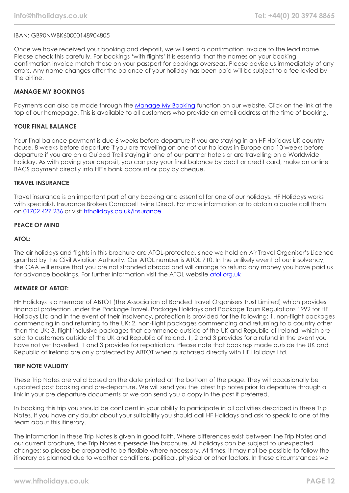#### IBAN: GB90NWBK60000148904805

Once we have received your booking and deposit, we will send a confirmation invoice to the lead name. Please check this carefully. For bookings 'with flights' it is essential that the names on your booking confirmation invoice match those on your passport for bookings overseas. Please advise us immediately of any errors. Any name changes after the balance of your holiday has been paid will be subject to a fee levied by the airline.

#### **MANAGE MY BOOKINGS**

Payments can also be made through the [Manage My Booking](https://www.hfholidays.co.uk/about-us/bookings/my-booking) function on our website. Click on the link at the top of our homepage. This is available to all customers who provide an email address at the time of booking.

#### **YOUR FINAL BALANCE**

Your final balance payment is due 6 weeks before departure if you are staying in an HF Holidays UK country house, 8 weeks before departure if you are travelling on one of our holidays in Europe and 10 weeks before departure if you are on a Guided Trail staying in one of our partner hotels or are travelling on a Worldwide holiday. As with paying your deposit, you can pay your final balance by debit or credit card, make an online BACS payment directly into HF's bank account or pay by cheque.

#### **TRAVEL INSURANCE**

Travel insurance is an important part of any booking and essential for one of our holidays. HF Holidays works with specialist. Insurance Brokers Campbell Irvine Direct. For more information or to obtain a quote call them on [01702 427 236](tel:01702427236) or visit [hfholidays.co.uk/insurance](https://www.hfholidays.co.uk/about-us/bookings/insurance)

#### **PEACE OF MIND**

#### **ATOL:**

The air holidays and flights in this brochure are ATOL-protected, since we hold an Air Travel Organiser's Licence granted by the Civil Aviation Authority. Our ATOL number is ATOL 710. In the unlikely event of our insolvency, the CAA will ensure that you are not stranded abroad and will arrange to refund any money you have paid us for advance bookings. For further information visit the ATOL website [atol.org.uk](https://www.atol.org/)

#### **MEMBER OF ABTOT:**

HF Holidays is a member of ABTOT (The Association of Bonded Travel Organisers Trust Limited) which provides financial protection under the Package Travel, Package Holidays and Package Tours Regulations 1992 for HF Holidays Ltd and in the event of their insolvency, protection is provided for the following: 1. non-flight packages commencing in and returning to the UK; 2. non-flight packages commencing and returning to a country other than the UK; 3. flight inclusive packages that commence outside of the UK and Republic of Ireland, which are sold to customers outside of the UK and Republic of Ireland. 1, 2 and 3 provides for a refund in the event you have not yet travelled. 1 and 3 provides for repatriation. Please note that bookings made outside the UK and Republic of Ireland are only protected by ABTOT when purchased directly with HF Holidays Ltd.

#### **TRIP NOTE VALIDITY**

These Trip Notes are valid based on the date printed at the bottom of the page. They will occasionally be updated post booking and pre-departure. We will send you the latest trip notes prior to departure through a link in your pre departure documents or we can send you a copy in the post if preferred.

In booking this trip you should be confident in your ability to participate in all activities described in these Trip Notes. If you have any doubt about your suitability you should call HF Holidays and ask to speak to one of the team about this itinerary.

The information in these Trip Notes is given in good faith. Where differences exist between the Trip Notes and our current brochure, the Trip Notes supersede the brochure. All holidays can be subject to unexpected changes; so please be prepared to be flexible where necessary. At times, it may not be possible to follow the itinerary as planned due to weather conditions, political, physical or other factors. In these circumstances we